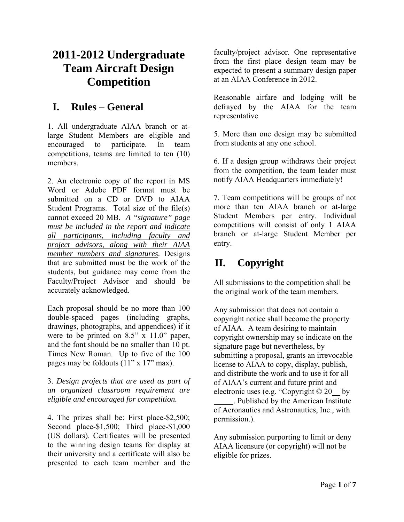# **2011-2012 Undergraduate Team Aircraft Design Competition**

## **I. Rules – General**

1. All undergraduate AIAA branch or atlarge Student Members are eligible and encouraged to participate. In team competitions, teams are limited to ten (10) members.

2. An electronic copy of the report in MS Word or Adobe PDF format must be submitted on a CD or DVD to AIAA Student Programs. Total size of the file(s) cannot exceed 20 MB. *A "signature" page must be included in the report and indicate all participants, including faculty and project advisors, along with their AIAA member numbers and signatures.* Designs that are submitted must be the work of the students, but guidance may come from the Faculty/Project Advisor and should be accurately acknowledged.

Each proposal should be no more than 100 double-spaced pages (including graphs, drawings, photographs, and appendices) if it were to be printed on 8.5" x 11.0" paper, and the font should be no smaller than 10 pt. Times New Roman. Up to five of the 100 pages may be foldouts (11" x 17" max).

3. *Design projects that are used as part of an organized classroom requirement are eligible and encouraged for competition.*

4. The prizes shall be: First place-\$2,500; Second place-\$1,500; Third place-\$1,000 (US dollars). Certificates will be presented to the winning design teams for display at their university and a certificate will also be presented to each team member and the faculty/project advisor. One representative from the first place design team may be expected to present a summary design paper at an AIAA Conference in 2012.

Reasonable airfare and lodging will be defrayed by the AIAA for the team representative

5. More than one design may be submitted from students at any one school.

6. If a design group withdraws their project from the competition, the team leader must notify AIAA Headquarters immediately!

7. Team competitions will be groups of not more than ten AIAA branch or at-large Student Members per entry. Individual competitions will consist of only 1 AIAA branch or at-large Student Member per entry.

# **II. Copyright**

All submissions to the competition shall be the original work of the team members.

Any submission that does not contain a copyright notice shall become the property of AIAA. A team desiring to maintain copyright ownership may so indicate on the signature page but nevertheless, by submitting a proposal, grants an irrevocable license to AIAA to copy, display, publish, and distribute the work and to use it for all of AIAA's current and future print and electronic uses (e.g. "Copyright © 20\_\_ by

\_\_\_\_\_. Published by the American Institute of Aeronautics and Astronautics, Inc., with permission.).

Any submission purporting to limit or deny AIAA licensure (or copyright) will not be eligible for prizes.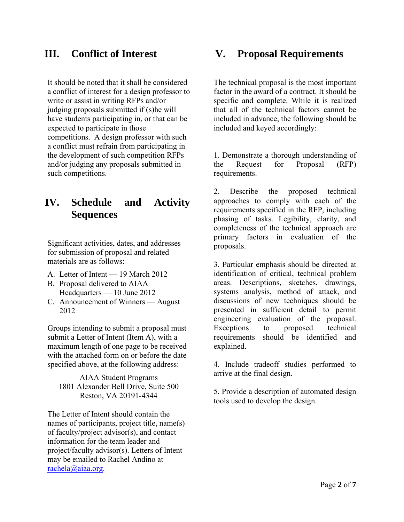## **III. Conflict of Interest**

It should be noted that it shall be considered a conflict of interest for a design professor to write or assist in writing RFPs and/or judging proposals submitted if (s)he will have students participating in, or that can be expected to participate in those competitions. A design professor with such a conflict must refrain from participating in the development of such competition RFPs and/or judging any proposals submitted in such competitions.

# **IV. Schedule and Activity Sequences**

Significant activities, dates, and addresses for submission of proposal and related materials are as follows:

- A. Letter of Intent 19 March 2012
- B. Proposal delivered to AIAA Headquarters — 10 June 2012
- C. Announcement of Winners August 2012

Groups intending to submit a proposal must submit a Letter of Intent (Item A), with a maximum length of one page to be received with the attached form on or before the date specified above, at the following address:

AIAA Student Programs 1801 Alexander Bell Drive, Suite 500 Reston, VA 20191-4344

The Letter of Intent should contain the names of participants, project title, name(s) of faculty/project advisor(s), and contact information for the team leader and project/faculty advisor(s). Letters of Intent may be emailed to Rachel Andino at [rachela@aiaa.org.](mailto:rachela@aiaa.org)

### **V. Proposal Requirements**

The technical proposal is the most important factor in the award of a contract. It should be specific and complete. While it is realized that all of the technical factors cannot be included in advance, the following should be included and keyed accordingly:

1. Demonstrate a thorough understanding of the Request for Proposal (RFP) requirements.

2. Describe the proposed technical approaches to comply with each of the requirements specified in the RFP, including phasing of tasks. Legibility, clarity, and completeness of the technical approach are primary factors in evaluation of the proposals.

3. Particular emphasis should be directed at identification of critical, technical problem areas. Descriptions, sketches, drawings, systems analysis, method of attack, and discussions of new techniques should be presented in sufficient detail to permit engineering evaluation of the proposal. Exceptions to proposed technical requirements should be identified and explained.

4. Include tradeoff studies performed to arrive at the final design.

5. Provide a description of automated design tools used to develop the design.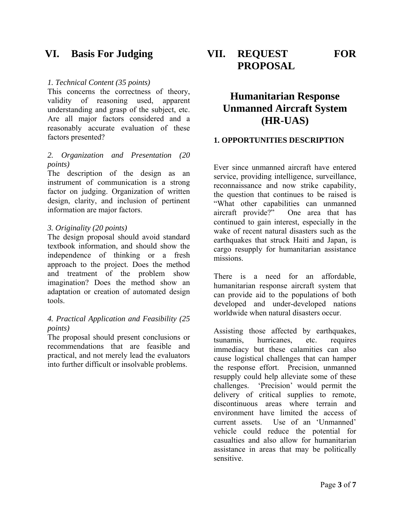### **VI. Basis For Judging**

#### *1. Technical Content (35 points)*

This concerns the correctness of theory, validity of reasoning used, apparent understanding and grasp of the subject, etc. Are all major factors considered and a reasonably accurate evaluation of these factors presented?

#### *2. Organization and Presentation (20 points)*

The description of the design as an instrument of communication is a strong factor on judging. Organization of written design, clarity, and inclusion of pertinent information are major factors.

#### *3. Originality (20 points)*

The design proposal should avoid standard textbook information, and should show the independence of thinking or a fresh approach to the project. Does the method and treatment of the problem show imagination? Does the method show an adaptation or creation of automated design tools.

#### *4. Practical Application and Feasibility (25 points)*

The proposal should present conclusions or recommendations that are feasible and practical, and not merely lead the evaluators into further difficult or insolvable problems.

**VII. REQUEST FOR PROPOSAL** 

## **Humanitarian Response Unmanned Aircraft System (HR-UAS)**

#### **1. OPPORTUNITIES DESCRIPTION**

Ever since unmanned aircraft have entered service, providing intelligence, surveillance, reconnaissance and now strike capability, the question that continues to be raised is "What other capabilities can unmanned aircraft provide?" One area that has continued to gain interest, especially in the wake of recent natural disasters such as the earthquakes that struck Haiti and Japan, is cargo resupply for humanitarian assistance missions.

There is a need for an affordable, humanitarian response aircraft system that can provide aid to the populations of both developed and under-developed nations worldwide when natural disasters occur.

Assisting those affected by earthquakes, tsunamis, hurricanes, etc. requires immediacy but these calamities can also cause logistical challenges that can hamper the response effort. Precision, unmanned resupply could help alleviate some of these challenges. 'Precision' would permit the delivery of critical supplies to remote, discontinuous areas where terrain and environment have limited the access of current assets. Use of an 'Unmanned' vehicle could reduce the potential for casualties and also allow for humanitarian assistance in areas that may be politically sensitive.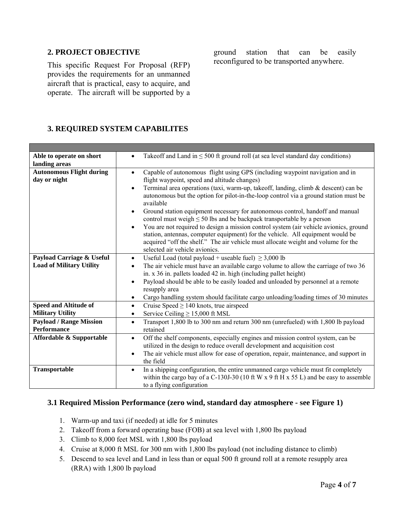#### **2. PROJECT OBJECTIVE**

This specific Request For Proposal (RFP) provides the requirements for an unmanned aircraft that is practical, easy to acquire, and operate. The aircraft will be supported by a ground station that can be easily reconfigured to be transported anywhere.

#### **3. REQUIRED SYSTEM CAPABILITES**

| Able to operate on short            | Takeoff and Land in $\leq 500$ ft ground roll (at sea level standard day conditions)<br>$\bullet$                                                                                                                                                                                                           |  |
|-------------------------------------|-------------------------------------------------------------------------------------------------------------------------------------------------------------------------------------------------------------------------------------------------------------------------------------------------------------|--|
| landing areas                       |                                                                                                                                                                                                                                                                                                             |  |
| <b>Autonomous Flight during</b>     | Capable of autonomous flight using GPS (including waypoint navigation and in<br>$\bullet$                                                                                                                                                                                                                   |  |
| day or night                        | flight waypoint, speed and altitude changes)                                                                                                                                                                                                                                                                |  |
|                                     | Terminal area operations (taxi, warm-up, takeoff, landing, climb & descent) can be<br>$\bullet$                                                                                                                                                                                                             |  |
|                                     | autonomous but the option for pilot-in-the-loop control via a ground station must be<br>available                                                                                                                                                                                                           |  |
|                                     | Ground station equipment necessary for autonomous control, handoff and manual<br>$\bullet$<br>control must weigh $\leq$ 50 lbs and be backpack transportable by a person                                                                                                                                    |  |
|                                     | You are not required to design a mission control system (air vehicle avionics, ground<br>$\bullet$<br>station, antennas, computer equipment) for the vehicle. All equipment would be<br>acquired "off the shelf." The air vehicle must allocate weight and volume for the<br>selected air vehicle avionics. |  |
| Payload Carriage & Useful           | Useful Load (total payload + useable fuel) $\geq$ 3,000 lb<br>$\bullet$                                                                                                                                                                                                                                     |  |
| <b>Load of Military Utility</b>     | The air vehicle must have an available cargo volume to allow the carriage of two 36<br>$\bullet$                                                                                                                                                                                                            |  |
|                                     | in. x 36 in. pallets loaded 42 in. high (including pallet height)                                                                                                                                                                                                                                           |  |
|                                     | Payload should be able to be easily loaded and unloaded by personnel at a remote<br>$\bullet$                                                                                                                                                                                                               |  |
|                                     | resupply area                                                                                                                                                                                                                                                                                               |  |
|                                     | Cargo handling system should facilitate cargo unloading/loading times of 30 minutes<br>$\bullet$                                                                                                                                                                                                            |  |
| <b>Speed and Altitude of</b>        | Cruise Speed $\geq$ 140 knots, true airspeed<br>$\bullet$                                                                                                                                                                                                                                                   |  |
| <b>Military Utility</b>             | Service Ceiling $\geq$ 15,000 ft MSL<br>$\bullet$                                                                                                                                                                                                                                                           |  |
| <b>Payload / Range Mission</b>      | Transport 1,800 lb to 300 nm and return 300 nm (unrefueled) with 1,800 lb payload<br>$\bullet$                                                                                                                                                                                                              |  |
| <b>Performance</b>                  | retained                                                                                                                                                                                                                                                                                                    |  |
| <b>Affordable &amp; Supportable</b> | Off the shelf components, especially engines and mission control system, can be<br>$\bullet$                                                                                                                                                                                                                |  |
|                                     | utilized in the design to reduce overall development and acquisition cost                                                                                                                                                                                                                                   |  |
|                                     | The air vehicle must allow for ease of operation, repair, maintenance, and support in<br>$\bullet$                                                                                                                                                                                                          |  |
|                                     | the field                                                                                                                                                                                                                                                                                                   |  |
| Transportable                       | In a shipping configuration, the entire unmanned cargo vehicle must fit completely<br>$\bullet$                                                                                                                                                                                                             |  |
|                                     | within the cargo bay of a C-130J-30 (10 ft W x 9 ft H x 55 L) and be easy to assemble                                                                                                                                                                                                                       |  |
|                                     | to a flying configuration                                                                                                                                                                                                                                                                                   |  |

#### **3.1 Required Mission Performance (zero wind, standard day atmosphere - see Figure 1)**

- 1. Warm-up and taxi (if needed) at idle for 5 minutes
- 2. Takeoff from a forward operating base (FOB) at sea level with 1,800 lbs payload
- 3. Climb to 8,000 feet MSL with 1,800 lbs payload
- 4. Cruise at 8,000 ft MSL for 300 nm with 1,800 lbs payload (not including distance to climb)
- 5. Descend to sea level and Land in less than or equal 500 ft ground roll at a remote resupply area (RRA) with 1,800 lb payload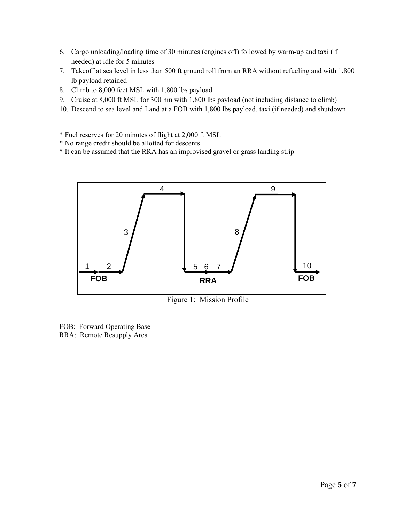- 6. Cargo unloading/loading time of 30 minutes (engines off) followed by warm-up and taxi (if needed) at idle for 5 minutes
- 7. Takeoff at sea level in less than 500 ft ground roll from an RRA without refueling and with 1,800 lb payload retained
- 8. Climb to 8,000 feet MSL with 1,800 lbs payload
- 9. Cruise at 8,000 ft MSL for 300 nm with 1,800 lbs payload (not including distance to climb)
- 10. Descend to sea level and Land at a FOB with 1,800 lbs payload, taxi (if needed) and shutdown
- \* Fuel reserves for 20 minutes of flight at 2,000 ft MSL
- \* No range credit should be allotted for descents
- \* It can be assumed that the RRA has an improvised gravel or grass landing strip



Figure 1: Mission Profile

FOB: Forward Operating Base RRA: Remote Resupply Area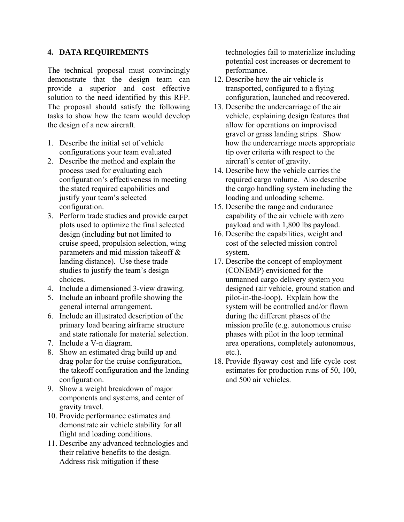#### **4. DATA REQUIREMENTS**

The technical proposal must convincingly demonstrate that the design team can provide a superior and cost effective solution to the need identified by this RFP. The proposal should satisfy the following tasks to show how the team would develop the design of a new aircraft.

- 1. Describe the initial set of vehicle configurations your team evaluated
- 2. Describe the method and explain the process used for evaluating each configuration's effectiveness in meeting the stated required capabilities and justify your team's selected configuration.
- 3. Perform trade studies and provide carpet plots used to optimize the final selected design (including but not limited to cruise speed, propulsion selection, wing parameters and mid mission takeoff  $\&$ landing distance). Use these trade studies to justify the team's design choices.
- 4. Include a dimensioned 3-view drawing.
- 5. Include an inboard profile showing the general internal arrangement.
- 6. Include an illustrated description of the primary load bearing airframe structure and state rationale for material selection.
- 7. Include a V-n diagram.
- 8. Show an estimated drag build up and drag polar for the cruise configuration, the takeoff configuration and the landing configuration.
- 9. Show a weight breakdown of major components and systems, and center of gravity travel.
- 10. Provide performance estimates and demonstrate air vehicle stability for all flight and loading conditions.
- 11. Describe any advanced technologies and their relative benefits to the design. Address risk mitigation if these

technologies fail to materialize including potential cost increases or decrement to performance.

- 12. Describe how the air vehicle is transported, configured to a flying configuration, launched and recovered.
- 13. Describe the undercarriage of the air vehicle, explaining design features that allow for operations on improvised gravel or grass landing strips. Show how the undercarriage meets appropriate tip over criteria with respect to the aircraft's center of gravity.
- 14. Describe how the vehicle carries the required cargo volume. Also describe the cargo handling system including the loading and unloading scheme.
- 15. Describe the range and endurance capability of the air vehicle with zero payload and with 1,800 lbs payload.
- 16. Describe the capabilities, weight and cost of the selected mission control system.
- 17. Describe the concept of employment (CONEMP) envisioned for the unmanned cargo delivery system you designed (air vehicle, ground station and pilot-in-the-loop). Explain how the system will be controlled and/or flown during the different phases of the mission profile (e.g. autonomous cruise phases with pilot in the loop terminal area operations, completely autonomous, etc.).
- 18. Provide flyaway cost and life cycle cost estimates for production runs of 50, 100, and 500 air vehicles.